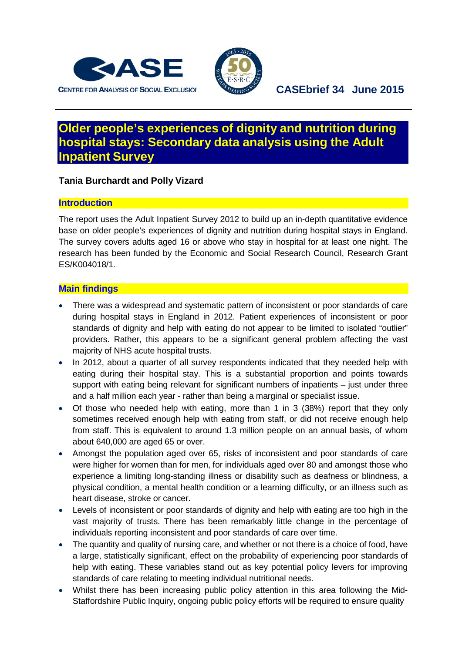



# **Older people's experiences of dignity and nutrition during hospital stays: Secondary data analysis using the Adult Inpatient Survey**

## **Tania Burchardt and Polly Vizard**

## **Introduction**

The report uses the Adult Inpatient Survey 2012 to build up an in-depth quantitative evidence base on older people's experiences of dignity and nutrition during hospital stays in England. The survey covers adults aged 16 or above who stay in hospital for at least one night. The research has been funded by the Economic and Social Research Council, Research Grant ES/K004018/1.

#### **Main findings**

- There was a widespread and systematic pattern of inconsistent or poor standards of care during hospital stays in England in 2012. Patient experiences of inconsistent or poor standards of dignity and help with eating do not appear to be limited to isolated "outlier" providers. Rather, this appears to be a significant general problem affecting the vast majority of NHS acute hospital trusts.
- In 2012, about a quarter of all survey respondents indicated that they needed help with eating during their hospital stay. This is a substantial proportion and points towards support with eating being relevant for significant numbers of inpatients – just under three and a half million each year - rather than being a marginal or specialist issue.
- Of those who needed help with eating, more than 1 in 3 (38%) report that they only sometimes received enough help with eating from staff, or did not receive enough help from staff. This is equivalent to around 1.3 million people on an annual basis, of whom about 640,000 are aged 65 or over.
- Amongst the population aged over 65, risks of inconsistent and poor standards of care were higher for women than for men, for individuals aged over 80 and amongst those who experience a limiting long-standing illness or disability such as deafness or blindness, a physical condition, a mental health condition or a learning difficulty, or an illness such as heart disease, stroke or cancer.
- Levels of inconsistent or poor standards of dignity and help with eating are too high in the vast majority of trusts. There has been remarkably little change in the percentage of individuals reporting inconsistent and poor standards of care over time.
- The quantity and quality of nursing care, and whether or not there is a choice of food, have a large, statistically significant, effect on the probability of experiencing poor standards of help with eating. These variables stand out as key potential policy levers for improving standards of care relating to meeting individual nutritional needs.
- Whilst there has been increasing public policy attention in this area following the Mid-Staffordshire Public Inquiry, ongoing public policy efforts will be required to ensure quality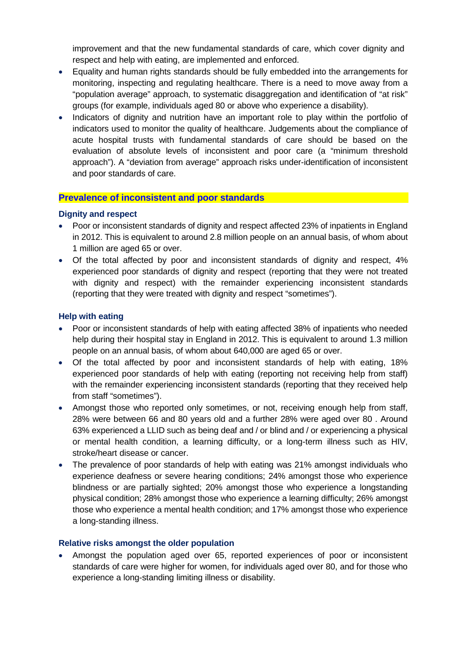improvement and that the new fundamental standards of care, which cover dignity and respect and help with eating, are implemented and enforced.

- Equality and human rights standards should be fully embedded into the arrangements for monitoring, inspecting and regulating healthcare. There is a need to move away from a "population average" approach, to systematic disaggregation and identification of "at risk" groups (for example, individuals aged 80 or above who experience a disability).
- Indicators of dignity and nutrition have an important role to play within the portfolio of indicators used to monitor the quality of healthcare. Judgements about the compliance of acute hospital trusts with fundamental standards of care should be based on the evaluation of absolute levels of inconsistent and poor care (a "minimum threshold approach"). A "deviation from average" approach risks under-identification of inconsistent and poor standards of care.

### **Prevalence of inconsistent and poor standards**

#### **Dignity and respect**

- Poor or inconsistent standards of dignity and respect affected 23% of inpatients in England in 2012. This is equivalent to around 2.8 million people on an annual basis, of whom about 1 million are aged 65 or over.
- Of the total affected by poor and inconsistent standards of dignity and respect, 4% experienced poor standards of dignity and respect (reporting that they were not treated with dignity and respect) with the remainder experiencing inconsistent standards (reporting that they were treated with dignity and respect "sometimes").

#### **Help with eating**

- Poor or inconsistent standards of help with eating affected 38% of inpatients who needed help during their hospital stay in England in 2012. This is equivalent to around 1.3 million people on an annual basis, of whom about 640,000 are aged 65 or over.
- Of the total affected by poor and inconsistent standards of help with eating, 18% experienced poor standards of help with eating (reporting not receiving help from staff) with the remainder experiencing inconsistent standards (reporting that they received help from staff "sometimes").
- Amongst those who reported only sometimes, or not, receiving enough help from staff, 28% were between 66 and 80 years old and a further 28% were aged over 80 . Around 63% experienced a LLID such as being deaf and / or blind and / or experiencing a physical or mental health condition, a learning difficulty, or a long-term illness such as HIV, stroke/heart disease or cancer.
- The prevalence of poor standards of help with eating was 21% amongst individuals who experience deafness or severe hearing conditions; 24% amongst those who experience blindness or are partially sighted; 20% amongst those who experience a longstanding physical condition; 28% amongst those who experience a learning difficulty; 26% amongst those who experience a mental health condition; and 17% amongst those who experience a long-standing illness.

#### **Relative risks amongst the older population**

• Amongst the population aged over 65, reported experiences of poor or inconsistent standards of care were higher for women, for individuals aged over 80, and for those who experience a long-standing limiting illness or disability.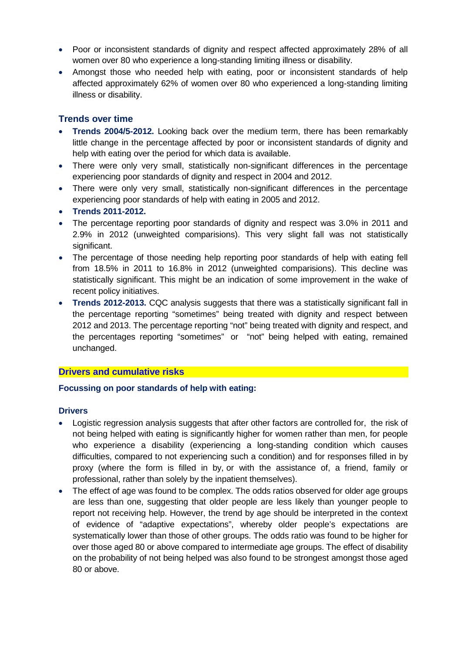- Poor or inconsistent standards of dignity and respect affected approximately 28% of all women over 80 who experience a long-standing limiting illness or disability.
- Amongst those who needed help with eating, poor or inconsistent standards of help affected approximately 62% of women over 80 who experienced a long-standing limiting illness or disability.

## **Trends over time**

- **Trends 2004/5-2012.** Looking back over the medium term, there has been remarkably little change in the percentage affected by poor or inconsistent standards of dignity and help with eating over the period for which data is available.
- There were only very small, statistically non-significant differences in the percentage experiencing poor standards of dignity and respect in 2004 and 2012.
- There were only very small, statistically non-significant differences in the percentage experiencing poor standards of help with eating in 2005 and 2012.
- **Trends 2011-2012.**
- The percentage reporting poor standards of dignity and respect was 3.0% in 2011 and 2.9% in 2012 (unweighted comparisions). This very slight fall was not statistically significant.
- The percentage of those needing help reporting poor standards of help with eating fell from 18.5% in 2011 to 16.8% in 2012 (unweighted comparisions). This decline was statistically significant. This might be an indication of some improvement in the wake of recent policy initiatives.
- **Trends 2012-2013.** CQC analysis suggests that there was a statistically significant fall in the percentage reporting "sometimes" being treated with dignity and respect between 2012 and 2013. The percentage reporting "not" being treated with dignity and respect, and the percentages reporting "sometimes" or "not" being helped with eating, remained unchanged.

## **Drivers and cumulative risks**

#### **Focussing on poor standards of help with eating:**

#### **Drivers**

- Logistic regression analysis suggests that after other factors are controlled for, the risk of not being helped with eating is significantly higher for women rather than men, for people who experience a disability (experiencing a long-standing condition which causes difficulties, compared to not experiencing such a condition) and for responses filled in by proxy (where the form is filled in by, or with the assistance of, a friend, family or professional, rather than solely by the inpatient themselves).
- The effect of age was found to be complex. The odds ratios observed for older age groups are less than one, suggesting that older people are less likely than younger people to report not receiving help. However, the trend by age should be interpreted in the context of evidence of "adaptive expectations", whereby older people's expectations are systematically lower than those of other groups. The odds ratio was found to be higher for over those aged 80 or above compared to intermediate age groups. The effect of disability on the probability of not being helped was also found to be strongest amongst those aged 80 or above.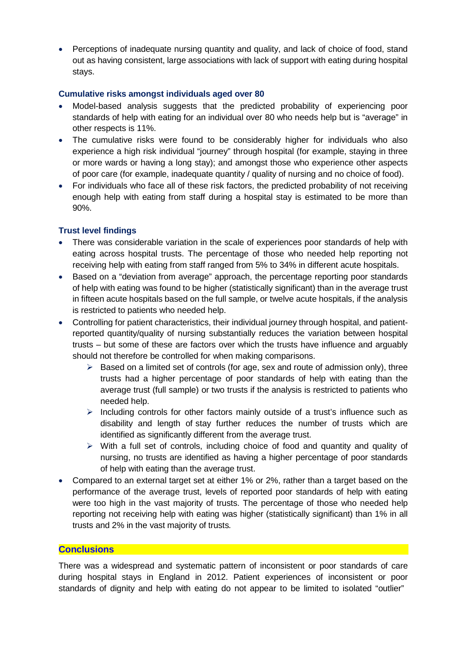• Perceptions of inadequate nursing quantity and quality, and lack of choice of food, stand out as having consistent, large associations with lack of support with eating during hospital stays.

### **Cumulative risks amongst individuals aged over 80**

- Model-based analysis suggests that the predicted probability of experiencing poor standards of help with eating for an individual over 80 who needs help but is "average" in other respects is 11%.
- The cumulative risks were found to be considerably higher for individuals who also experience a high risk individual "journey" through hospital (for example, staying in three or more wards or having a long stay); and amongst those who experience other aspects of poor care (for example, inadequate quantity / quality of nursing and no choice of food).
- For individuals who face all of these risk factors, the predicted probability of not receiving enough help with eating from staff during a hospital stay is estimated to be more than 90%.

## **Trust level findings**

- There was considerable variation in the scale of experiences poor standards of help with eating across hospital trusts. The percentage of those who needed help reporting not receiving help with eating from staff ranged from 5% to 34% in different acute hospitals.
- Based on a "deviation from average" approach, the percentage reporting poor standards of help with eating was found to be higher (statistically significant) than in the average trust in fifteen acute hospitals based on the full sample, or twelve acute hospitals, if the analysis is restricted to patients who needed help.
- Controlling for patient characteristics, their individual journey through hospital, and patientreported quantity/quality of nursing substantially reduces the variation between hospital trusts – but some of these are factors over which the trusts have influence and arguably should not therefore be controlled for when making comparisons.
	- $\triangleright$  Based on a limited set of controls (for age, sex and route of admission only), three trusts had a higher percentage of poor standards of help with eating than the average trust (full sample) or two trusts if the analysis is restricted to patients who needed help.
	- $\triangleright$  Including controls for other factors mainly outside of a trust's influence such as disability and length of stay further reduces the number of trusts which are identified as significantly different from the average trust.
	- $\triangleright$  With a full set of controls, including choice of food and quantity and quality of nursing, no trusts are identified as having a higher percentage of poor standards of help with eating than the average trust.
- Compared to an external target set at either 1% or 2%, rather than a target based on the performance of the average trust, levels of reported poor standards of help with eating were too high in the vast majority of trusts. The percentage of those who needed help reporting not receiving help with eating was higher (statistically significant) than 1% in all trusts and 2% in the vast majority of trusts*.*

#### **Conclusions**

There was a widespread and systematic pattern of inconsistent or poor standards of care during hospital stays in England in 2012. Patient experiences of inconsistent or poor standards of dignity and help with eating do not appear to be limited to isolated "outlier"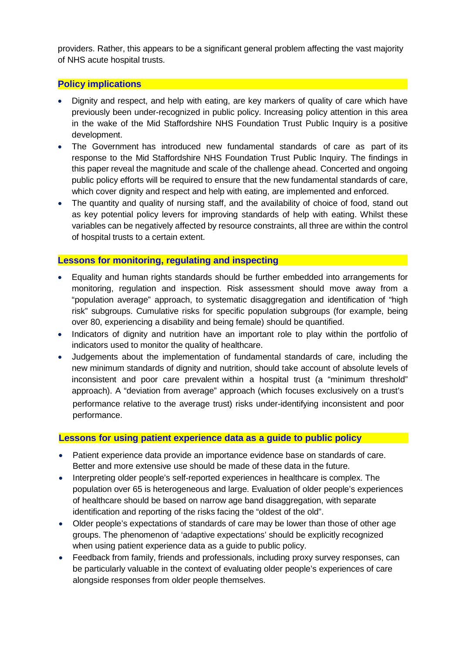providers. Rather, this appears to be a significant general problem affecting the vast majority of NHS acute hospital trusts.

## **Policy implications**

- Dignity and respect, and help with eating, are key markers of quality of care which have previously been under-recognized in public policy. Increasing policy attention in this area in the wake of the Mid Staffordshire NHS Foundation Trust Public Inquiry is a positive development.
- The Government has introduced new fundamental standards of care as part of its response to the Mid Staffordshire NHS Foundation Trust Public Inquiry. The findings in this paper reveal the magnitude and scale of the challenge ahead. Concerted and ongoing public policy efforts will be required to ensure that the new fundamental standards of care, which cover dignity and respect and help with eating, are implemented and enforced.
- The quantity and quality of nursing staff, and the availability of choice of food, stand out as key potential policy levers for improving standards of help with eating. Whilst these variables can be negatively affected by resource constraints, all three are within the control of hospital trusts to a certain extent.

## **Lessons for monitoring, regulating and inspecting**

- Equality and human rights standards should be further embedded into arrangements for monitoring, regulation and inspection. Risk assessment should move away from a "population average" approach, to systematic disaggregation and identification of "high risk" subgroups. Cumulative risks for specific population subgroups (for example, being over 80, experiencing a disability and being female) should be quantified.
- Indicators of dignity and nutrition have an important role to play within the portfolio of indicators used to monitor the quality of healthcare.
- Judgements about the implementation of fundamental standards of care, including the new minimum standards of dignity and nutrition, should take account of absolute levels of inconsistent and poor care prevalent within a hospital trust (a "minimum threshold" approach). A "deviation from average" approach (which focuses exclusively on a trust's performance relative to the average trust) risks under-identifying inconsistent and poor performance.

## **Lessons for using patient experience data as a guide to public policy**

- Patient experience data provide an importance evidence base on standards of care. Better and more extensive use should be made of these data in the future.
- Interpreting older people's self-reported experiences in healthcare is complex. The population over 65 is heterogeneous and large. Evaluation of older people's experiences of healthcare should be based on narrow age band disaggregation, with separate identification and reporting of the risks facing the "oldest of the old".
- Older people's expectations of standards of care may be lower than those of other age groups. The phenomenon of 'adaptive expectations' should be explicitly recognized when using patient experience data as a guide to public policy.
- Feedback from family, friends and professionals, including proxy survey responses, can be particularly valuable in the context of evaluating older people's experiences of care alongside responses from older people themselves.